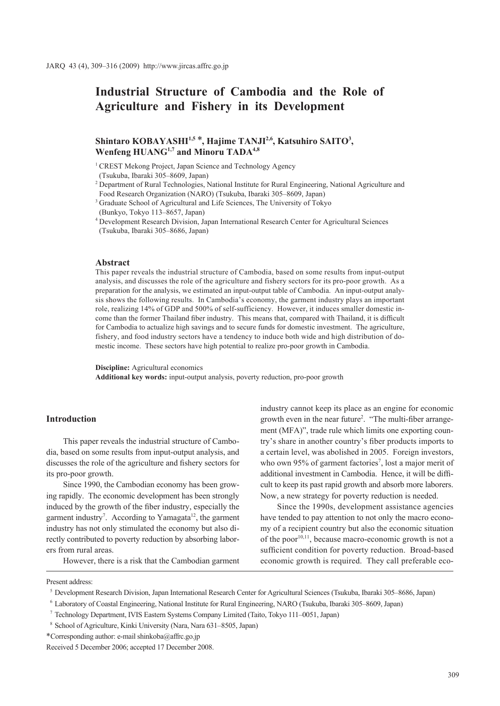# **Industrial Structure of Cambodia and the Role of Agriculture and Fishery in its Development**

# Shintaro KOBAYASHI<sup>1,5</sup> \*, Hajime TANJI<sup>2,6</sup>, Katsuhiro SAITO<sup>3</sup>, Wenfeng HUANG<sup>1,7</sup> and Minoru TADA<sup>4,8</sup>

<sup>1</sup> CREST Mekong Project, Japan Science and Technology Agency

(Tsukuba, Ibaraki 305–8609, Japan)

<sup>2</sup> Department of Rural Technologies, National Institute for Rural Engineering, National Agriculture and Food Research Organization (NARO) (Tsukuba, Ibaraki 305–8609, Japan)

<sup>3</sup> Graduate School of Agricultural and Life Sciences, The University of Tokyo (Bunkyo, Tokyo 113–8657, Japan)

<sup>4</sup> Development Research Division, Japan International Research Center for Agricultural Sciences (Tsukuba, Ibaraki 305–8686, Japan)

#### **Abstract**

This paper reveals the industrial structure of Cambodia, based on some results from input-output analysis, and discusses the role of the agriculture and fishery sectors for its pro-poor growth. As a preparation for the analysis, we estimated an input-output table of Cambodia. An input-output analysis shows the following results. In Cambodia's economy, the garment industry plays an important role, realizing 14% of GDP and 500% of self-sufficiency. However, it induces smaller domestic income than the former Thailand fiber industry. This means that, compared with Thailand, it is difficult for Cambodia to actualize high savings and to secure funds for domestic investment. The agriculture, fishery, and food industry sectors have a tendency to induce both wide and high distribution of domestic income. These sectors have high potential to realize pro-poor growth in Cambodia.

**Discipline:** Agricultural economics

**Additional key words:** input-output analysis, poverty reduction, pro-poor growth

# **Introduction**

This paper reveals the industrial structure of Cambodia, based on some results from input-output analysis, and discusses the role of the agriculture and fishery sectors for its pro-poor growth.

Since 1990, the Cambodian economy has been growing rapidly. The economic development has been strongly induced by the growth of the fiber industry, especially the garment industry<sup>7</sup>. According to Yamagata<sup>12</sup>, the garment industry has not only stimulated the economy but also directly contributed to poverty reduction by absorbing laborers from rural areas.

However, there is a risk that the Cambodian garment

industry cannot keep its place as an engine for economic growth even in the near future<sup>2</sup>. "The multi-fiber arrangement (MFA)", trade rule which limits one exporting country's share in another country's fiber products imports to a certain level, was abolished in 2005. Foreign investors, who own 95% of garment factories<sup>7</sup>, lost a major merit of additional investment in Cambodia. Hence, it will be difficult to keep its past rapid growth and absorb more laborers. Now, a new strategy for poverty reduction is needed.

Since the 1990s, development assistance agencies have tended to pay attention to not only the macro economy of a recipient country but also the economic situation of the poor<sup>10,11</sup>, because macro-economic growth is not a sufficient condition for poverty reduction. Broad-based economic growth is required. They call preferable eco-

Present address:

<sup>5</sup> Development Research Division, Japan International Research Center for Agricultural Sciences (Tsukuba, Ibaraki 305–8686, Japan)

<sup>6</sup> Laboratory of Coastal Engineering, National Institute for Rural Engineering, NARO (Tsukuba, Ibaraki 305–8609, Japan)

<sup>7</sup> Technology Department, IVIS Eastern Systems Company Limited (Taito, Tokyo 111–0051, Japan)

<sup>8</sup> School of Agriculture, Kinki University (Nara, Nara 631–8505, Japan)

<sup>\*</sup>Corresponding author: e-mail shinkoba@affrc.go.jp

Received 5 December 2006; accepted 17 December 2008.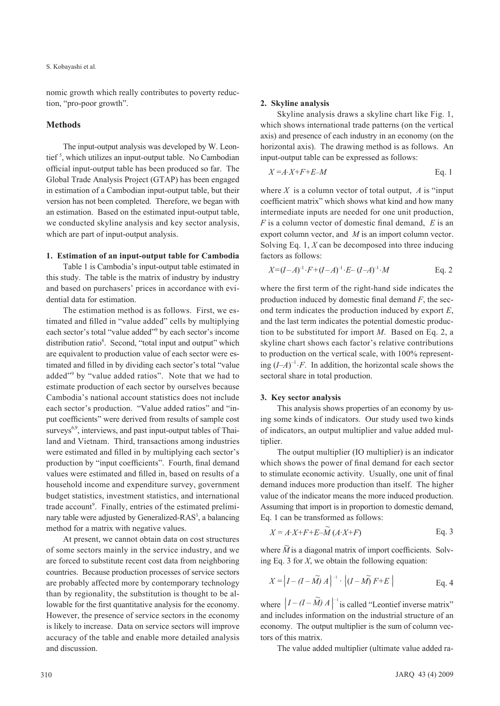### S. Kobayashi et al.

nomic growth which really contributes to poverty reduction, "pro-poor growth".

## **Methods**

The input-output analysis was developed by W. Leontief<sup>5</sup>, which utilizes an input-output table. No Cambodian official input-output table has been produced so far. The Global Trade Analysis Project (GTAP) has been engaged in estimation of a Cambodian input-output table, but their version has not been completed. Therefore, we began with an estimation. Based on the estimated input-output table, we conducted skyline analysis and key sector analysis, which are part of input-output analysis.

## **1. Estimation of an input-output table for Cambodia**

Table 1 is Cambodia's input-output table estimated in this study. The table is the matrix of industry by industry and based on purchasers' prices in accordance with evidential data for estimation.

The estimation method is as follows. First, we estimated and filled in "value added" cells by multiplying each sector's total "value added"<sup>9</sup> by each sector's income distribution ratio<sup>8</sup>. Second, "total input and output" which are equivalent to production value of each sector were estimated and filled in by dividing each sector's total "value added"9 by "value added ratios". Note that we had to estimate production of each sector by ourselves because Cambodia's national account statistics does not include each sector's production. "Value added ratios" and "input coefficients" were derived from results of sample cost surveys<sup>6,9</sup>, interviews, and past input-output tables of Thailand and Vietnam. Third, transactions among industries were estimated and filled in by multiplying each sector's production by "input coefficients". Fourth, final demand values were estimated and filled in, based on results of a household income and expenditure survey, government budget statistics, investment statistics, and international trade account<sup>9</sup>. Finally, entries of the estimated preliminary table were adjusted by Generalized-RAS<sup>3</sup>, a balancing method for a matrix with negative values.

At present, we cannot obtain data on cost structures of some sectors mainly in the service industry, and we are forced to substitute recent cost data from neighboring countries. Because production processes of service sectors are probably affected more by contemporary technology than by regionality, the substitution is thought to be allowable for the first quantitative analysis for the economy. However, the presence of service sectors in the economy is likely to increase. Data on service sectors will improve accuracy of the table and enable more detailed analysis and discussion.

#### **2. Skyline analysis**

Skyline analysis draws a skyline chart like Fig. 1, which shows international trade patterns (on the vertical axis) and presence of each industry in an economy (on the horizontal axis). The drawing method is as follows. An input-output table can be expressed as follows:

$$
X = A \cdot X + F + E - M
$$
 Eq. 1

where  $X$  is a column vector of total output,  $A$  is "input coefficient matrix" which shows what kind and how many intermediate inputs are needed for one unit production, *F* is a column vector of domestic final demand, *E* is an export column vector, and *M* is an import column vector. Solving Eq. 1, *X* can be decomposed into three inducing factors as follows:

$$
X=(I-A)^{-1}\cdot F+(I-A)^{-1}\cdot E-(I-A)^{-1}\cdot M \qquad \text{Eq. 2}
$$

where the first term of the right-hand side indicates the production induced by domestic final demand *F*, the second term indicates the production induced by export *E*, and the last term indicates the potential domestic production to be substituted for import *M*. Based on Eq. 2, a skyline chart shows each factor's relative contributions to production on the vertical scale, with 100% representing  $(I-A)^{-1} \cdot F$ . In addition, the horizontal scale shows the sectoral share in total production.

#### **3. Key sector analysis**

This analysis shows properties of an economy by using some kinds of indicators. Our study used two kinds of indicators, an output multiplier and value added multiplier.

The output multiplier (IO multiplier) is an indicator which shows the power of final demand for each sector to stimulate economic activity. Usually, one unit of final demand induces more production than itself. The higher value of the indicator means the more induced production. Assuming that import is in proportion to domestic demand, Eq. 1 can be transformed as follows:

$$
X = A \cdot X + F + E - \widetilde{M} \left( A \cdot X + F \right)
$$
 Eq. 3

where  $\widetilde{M}$  is a diagonal matrix of import coefficients. Solving Eq. 3 for *X*, we obtain the following equation:

$$
X = \left\{ I - (I - \widetilde{M}) A \right\}^{-1} \cdot \left\{ (I - \widetilde{M}) F + E \right\}
$$
 Eq. 4

where  $\left\{ I - (I - \widetilde{M}) A \right\}^{-1}$  is called "Leontief inverse matrix" and includes information on the industrial structure of an economy. The output multiplier is the sum of column vectors of this matrix.

The value added multiplier (ultimate value added ra-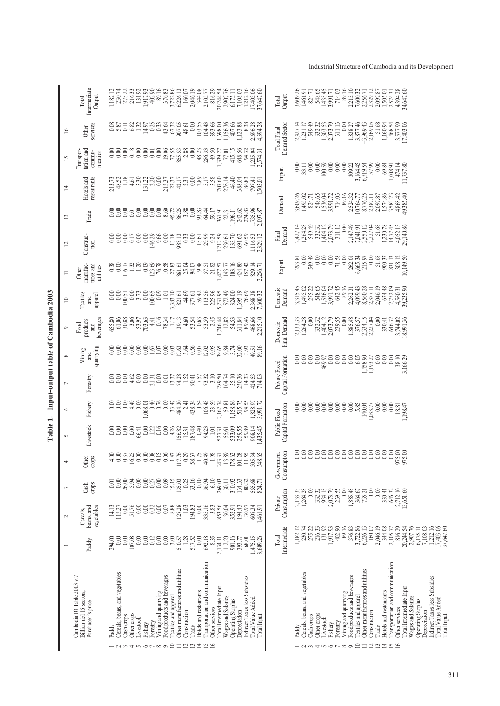|                          | Intermediate<br>Output<br>Total                                             | $\begin{array}{l} 1,182.12 \\ 2,30.74 \\ 2,75.22 \\ 2,16.33 \\ 1,91.93 \\ 1,917.93 \\ \hline \end{array}$<br>$\begin{array}{c} 89.16 \\ 376.83 \\ 3,722.86 \\ 6,226.13 \\ 160.07 \end{array}$<br>$\begin{array}{r} 6.11 \\ -0.175.11 \\ -1.108.03 \\ -1.212.16 \\ -1.403.06 \\ -1.403.66 \\ \hline \end{array}$<br>2,046.19<br>344.08<br>2,105.77<br>816.29<br>20,244.54                                                                                                                                                                                                    | Output<br>Total                    | 3,609.26<br>1,461.71<br>1,453,435.71<br>1,435,435.71<br>89.16<br>2,215.10<br>7,600.32<br>2,356.71<br>2,329.12<br>714.03<br>84,647.60<br>$\begin{array}{c} 1,505.01 \\ 2,574.31 \\ 4,394.28 \end{array}$<br>2,097.87                                                                                                                                                                                                                       |
|--------------------------|-----------------------------------------------------------------------------|-----------------------------------------------------------------------------------------------------------------------------------------------------------------------------------------------------------------------------------------------------------------------------------------------------------------------------------------------------------------------------------------------------------------------------------------------------------------------------------------------------------------------------------------------------------------------------|------------------------------------|-------------------------------------------------------------------------------------------------------------------------------------------------------------------------------------------------------------------------------------------------------------------------------------------------------------------------------------------------------------------------------------------------------------------------------------------|
| $\cong$                  | services<br>Other                                                           | 103.55<br>393.66<br>1,156.36<br>$\begin{array}{r} 407.66 \\ 1123.88 \\ 1.123.88 \\ 2,696.28 \\ 4,394.28 \end{array}$<br>104.43<br>,698.00<br>88838<br>000000<br>0.00<br>0.00<br>0.01                                                                                                                                                                                                                                                                                                                                                                                        | Demand Sector<br>Total Final       | $\begin{array}{l} 2,427.14 \\ 1,731.17 \\ 5,49.32 \\ 5,30.35 \\ 1,30.5 \\ 1,30.5 \\ 2,0.7 \\ 3,11.13 \\ \end{array}$<br>3,877.46<br>0.00<br>2,169.05<br>$\begin{array}{c} 51.68 \\ 1,160.94 \end{array}$<br>1,838.27<br>468.54<br>3,577.99<br>17,403.06                                                                                                                                                                                   |
| 15                       | tation and<br>commu-<br>nication<br>Transpor                                | 415.15<br>648.56<br>94.32<br>1,235.04<br>2,574.31<br>77.01                                                                                                                                                                                                                                                                                                                                                                                                                                                                                                                  | Import                             | $\begin{array}{c} 0.01 \\ 0.01 \\ 0.00 \\ 0.00 \\ 0.00 \\ 0.00 \\ \hline \end{array}$<br>309.22<br>3,164.45<br>3,519.57<br>5,500<br>5,000<br>0.00<br>0.00<br>$\begin{array}{c} 1,008.91 \\ 474.14 \\ 11,737.80 \end{array}$                                                                                                                                                                                                               |
| $\overline{4}$           | restaurants<br>Hotels and                                                   | 11537<br>27.37.31<br>27.31.3000.25.38<br>2007<br>2007<br>2007<br>276.14<br>46.40<br>$\begin{array}{l} 213.73 \\ 44.52 \\ 1.18 \\ 4.53 \\ 1.33 \\ 1.32 \\ 1.31 \\ 2.20 \\ 0.00 \\ \end{array}$<br>388.04<br>386.83<br>797.41<br>795.01                                                                                                                                                                                                                                                                                                                                       | Damand                             | 89.16<br>$\begin{array}{c} 2, 524.32 \\ 10, 764.77 \\ 8, 776.25 \\ 2, 3787.11 \\ 2, 3787.11 \\ 2, 574.86 \\ 2, 574.86 \\ 3, 533.23 \\ 4, 383.540 \\ \end{array}$<br>3,609.26<br>1,495.02<br>24.71<br>24.865<br>536.04<br>1,536.172<br>3,991.72<br>714.03                                                                                                                                                                                  |
| 13                       | Trade                                                                       | $0.877880834$<br>$0.877880834$<br>8885888<br>242.85<br>274.85.96<br>1,735.97.87<br>2,097.87<br>59.17<br>361.91<br>22.31<br>1,196.11<br>88818<br>00000<br>0.00                                                                                                                                                                                                                                                                                                                                                                                                               | Demand<br>Final                    | 2,147.49<br>$\begin{smallmatrix} 1.38 \\ 1.349 \\ 2.493 \\ 3.311 \\ 4.323 \\ 5.331 \\ 5.331 \\ 1.403 \\ 1.311 \\ 1.311 \\ 1.311 \\ 1.311 \\ 1.311 \\ 1.311 \\ 1.311 \\ 1.311 \\ 1.311 \\ 1.311 \\ 1.311 \\ 1.311 \\ 1.311 \\ 1.311 \\ 1.311 \\ 1.311 \\ 1.311 \\ 1.311 \\ 1.311 \\ 1.311 \\ 1.311 \\ 1.311 \\ 1.31$<br>0.00<br>$2,50.12\n2,527.08\n51.68\n1,47.74\n1,47.62\n29.34\n29.34$<br>7,041.91<br>2,427.14                         |
| $\Xi$                    | Construc-<br>tion                                                           | ,212.59<br>46.29<br>0.0000<br>$\begin{array}{l} 28.33 \\ 29.33 \\ 20.33 \\ 20.43 \\ 20.5 \\ 20.5 \\ 20.5 \\ 20.5 \\ 20.5 \\ 20.5 \\ 20.5 \\ 20.5 \\ 20.5 \\ 20.5 \\ 20.5 \\ 20.5 \\ 20.5 \\ 20.5 \\ 20.5 \\ 20.5 \\ 20.5 \\ 20.5 \\ 20.5 \\ 20.5 \\ 20.5 \\ 20.5 \\ 20.5 \\ 20.5 \\ 20.5 \\ 20.5 \\ 20.5 \\ 20.5 \\ 20.5 \\ 20.5 \\ 20.5$<br>230.61<br>23.70<br>691.62<br>60.59<br>1,116.53<br>2,329.12                                                                                                                                                                     | Export                             | $\begin{array}{c} 262.01 \\ 6,665.34 \\ 215.97 \\ 0.00 \end{array}$<br>$\begin{array}{c} 51.68 \\ 51.68 \\ 900.37 \\ 831.13 \\ 308.12 \\ 10,149.50 \end{array}$                                                                                                                                                                                                                                                                           |
| $\equiv$                 | tures and<br>manufac<br>utilities<br>Other                                  | $\begin{array}{l} 23.69 \\ 12.78 \\ 15.83 \\ 27.83 \\ 28.5 \\ 29.0 \\ 20.0 \\ 21.0 \\ 23.0 \\ 24.0 \\ 25.0 \\ 26.0 \\ 27.0 \\ 28.0 \\ 29.0 \\ 20.0 \\ 20.0 \\ 21.0 \\ 22.0 \\ 23.0 \\ 24.0 \\ 25.0 \\ 26.0 \\ 27.0 \\ 28.0 \\ 29.0 \\ 29.0 \\ 20.0 \\ 20.0 \\ 20.0 \\ 20.0 \\ 20.0 \\ 20.0 \\ 20.0 \\ 20.0$<br>$15.300$<br>$-1.300$<br>$\begin{array}{c} 0.38 \\ 0.00 \end{array}$                                                                                                                                                                                          |                                    | 89.16<br>2,262.31<br>4,099.43<br>8,560.28<br>2,387.11<br>2,046.19<br>14838817145<br>14886017145<br>14886017145<br>1488<br>3,315.45                                                                                                                                                                                                                                                                                                        |
| $\equiv$                 | Textiles<br>apparel<br>and                                                  | 3,383.10<br>821.61<br>44.69<br>377.61<br>59.42<br>525.96<br>113.56<br>100.65<br>0.09<br>5,231.95<br>572.49<br>324.00<br>1,395.19<br>7,600.32<br>7,600.32<br>$\begin{array}{c} 0.00 \\ 0.00 \\ 100.51 \end{array}$<br>1.01<br>$0.534$<br>53.34<br>65380<br>613886<br>63365<br>63363<br>70363                                                                                                                                                                                                                                                                                 | Domestic<br>Demand                 | $674.48$<br>$2,752.09$<br>$4,560.31$<br>$39,235.90$<br>0.00<br>0.00                                                                                                                                                                                                                                                                                                                                                                       |
| P                        | beverages<br>products<br>Food<br>and                                        | 746.44<br>12.82<br>54.53<br>311.84<br>89.46<br>468.66<br>2,215.10<br>essesser de directions de la direction de la serie de la direction de la direction de la serie de la direction<br>Sessesser de la direction de la direction de la direction de la direction de la direction de la direction de                                                                                                                                                                                                                                                                         | Final Demand<br>Domestic           | 2,133.33<br>1,264.28<br>$332.32$<br>1,404.12<br>2,073.79<br>239.55<br>1,885.48<br>2,334.15<br>2,227.04<br>376.57<br>646.32<br>3,744.02<br>18,991.36<br>330.41                                                                                                                                                                                                                                                                             |
| $\infty$                 | quarrying<br>Mining<br>and                                                  |                                                                                                                                                                                                                                                                                                                                                                                                                                                                                                                                                                             | Capital Formation<br>Private Fixed | 0.00000<br>0.00<br>6.05<br>$\begin{array}{l} 1,458.90 \\ 1,193.27 \\ 0.00 \\ 0.00 \\ 0.00 \\ 0.00 \\ 0.00 \\ 3,100.29 \\ 3,166.29 \end{array}$<br>0.00<br>0.00                                                                                                                                                                                                                                                                            |
| $\overline{ }$           | Forestry                                                                    | $\begin{array}{c} 0.40 \\ 0.76 \\ 0.03 \\ 0.04 \\ 0.04 \\ 0.43 \\ 0.54 \\ 0.54 \\ 0.54 \\ \end{array}$<br>88848                                                                                                                                                                                                                                                                                                                                                                                                                                                             |                                    | 888888<br>000000<br>0.00000<br>0.00<br>0.00<br>0.00                                                                                                                                                                                                                                                                                                                                                                                       |
| $\circ$<br>S             | Fishery                                                                     | $\begin{array}{c} 106.43 \\ 23.59 \\ 2,162.74 \end{array}$<br>$\begin{array}{r} 59.81 \\ 1,158.86 \\ 515.75 \\ 514.55 \\ 1,82.97 \\ 3,991.72 \end{array}$<br>,068.01<br>$\begin{array}{c} 0.01 \\ 0.14 \\ -0.03 \\ -0.04 \\ -0.04 \\ -0.04 \\ -0.04 \\ -0.04 \\ -0.04 \\ -0.04 \\ -0.01 \\ -0.01 \\ -0.01 \\ -0.01 \\ -0.01 \\ -0.01 \\ -0.01 \\ -0.01 \\ -0.01 \\ -0.01 \\ -0.01 \\ -0.01 \\ -0.01 \\ -0.01 \\ -0.01 \\ -0.01 \\ -0.01 \\ -0.01 \\ -0.01 \\ -0.01 \\ -0.01 \\ -0.01 \\ -0.01 \\ -0.01 \\ -0.01 \\ -0.$<br>577.31<br>55.61<br>539.58<br>538.89<br>58.435.45 | Capital Formation<br>Public Fixed  | $0.0834$<br>$140.04$<br>1,033.77<br>1,198.47<br>18.81                                                                                                                                                                                                                                                                                                                                                                                     |
| 4                        | Livestock<br>Other<br>crops                                                 | $\frac{37}{1600}$<br>$\frac{0.00}{0.00}$<br>0.00<br>0.08<br>$\frac{15}{0.06}$<br>$117.76$<br>$117.76$<br>$13.67$<br>$147$<br>$15.76$<br>$147$<br>$\begin{array}{r} 1980 \\ 243.3 \\ 180.0 \\ 181.0 \\ 180.0 \\ 101.5 \\ 153.0 \\ 103.0 \\ 153.0 \\ 104.0 \\ 103.0 \\ 104.0 \\ 105.0 \\ 106.0 \\ 108.0 \\ 109.0 \\ 109.0 \\ 109.0 \\ 109.0 \\ 109.0 \\ 109.0 \\ 109.0 \\ 109.0 \\ 109.0 \\ 109.0 \\ 109.0 \\ 109.0 \\ 109.0 \\ 109.0 \\ 109.0 \\ 109$                                                                                                                        |                                    | 88888888888888888<br>1980 - 1980 - 1980 - 1980<br>1980 - 1980 - 1980 - 1980 - 1980 - 1980 - 1980                                                                                                                                                                                                                                                                                                                                          |
| $\sim$                   | crops<br>Cash                                                               | 33.16<br>6.10<br>0.00<br>0.00<br>0.00<br>0.09<br>15.15<br>0.10<br>555.68<br>824.71<br>0.00<br>0.27<br>35.03<br>0.25<br>36.94<br>269.03<br>310.92<br>134.33<br>80.32<br>26.00<br>15.94<br>30.11                                                                                                                                                                                                                                                                                                                                                                              | Consumption<br>Government          |                                                                                                                                                                                                                                                                                                                                                                                                                                           |
| $\overline{\mathcal{C}}$ | beans, and<br>vegetables<br>Cereals,                                        | 335.16<br>853.56<br>0.00<br>0.32<br>0.00<br>0.07<br>88.8<br>128.28<br>$1.03\,$<br>194.83<br>0.00<br>3.83<br>30.04<br>194.43<br>30.97<br>0.00<br>$\frac{51.76}{0.00}$<br>608.34<br>$\frac{14.13}{115.27}$<br>352.91<br>,461.91                                                                                                                                                                                                                                                                                                                                               | Consumption<br>Private             | 1,885.48<br>1,264.28<br>332.32<br>934.15<br>2,073.79<br>239.55<br>$0.00\,$<br>0.00<br>0.00<br>2,133.33<br>$\frac{8}{2}$<br>364.67<br>646.32<br>2,712.10<br>330.41<br>13,651.60<br>735.21                                                                                                                                                                                                                                                  |
|                          | Paddy                                                                       | 510.57<br>517.52<br>901.16<br>0.00<br>107.08<br>0.00<br>0.00<br>0.12<br>0.00<br>0.00<br>3.00<br>0.00<br>692.18<br>8.35<br>112.20<br>1,475.15<br>3,609.26<br>$\frac{60}{20}$<br>294.00<br>2,134.11<br>393.77<br>68.01                                                                                                                                                                                                                                                                                                                                                        | Intermediate<br>Total              | 131.92<br>89.16<br>3,722.86<br>2,046.19<br>344.08<br>816.29<br>2,907.76<br>275.22<br>216.33<br>.917.93<br>402.90<br>376.83<br>6,226.13<br>160.07<br>20,244.54<br>1,182.12<br>230.74<br>2,105.77<br>6,175.11                                                                                                                                                                                                                               |
|                          | Cambodia IO Table 2003 v.7<br>Billion riel 16 sectors,<br>Purchaser's price | I ransportation and communication<br>Other manufactures and utilities<br>Cereals, beans, and vegetables<br>Food products and beverages<br>Indirect Taxes less Subsidies<br>Total Intermediate Input<br>Hotels and restaurants<br>Mining and quarrying<br>Fextiles and apparel<br>Wages and Salaries<br>Total Value Added<br>Operating Surplus<br>Other services<br>Depreciation<br>Construction<br>Other crops<br>Cash crops<br>Total Input<br>Livestock<br>Forestry<br>Fishery<br>Trade<br>Paddy<br>1234567890123456                                                       |                                    | Transportation and communication<br>Other manufactures and utilities<br>Cereals, beans, and vegetables<br>Mining and quarrying<br>Food products and beverages<br>l'otal Intermediate Input<br>Hotels and restaurants<br>Textiles and apparel<br>Wages and Salaries<br>Operating Surplus<br>Other services<br>Construction<br>Other crops<br>Cash crops<br>Livestock<br>Forestry<br>Fishery<br>Trade<br>Paddy<br>- ~ ~ ~ ~ ~ ~ ~ ~ 2122129 |

Table 1. Input-output table of Cambodia 2003 **Table 1. Input-output table of Cambodia 2003**

311

# Industrial Structure of Cambodia and its Development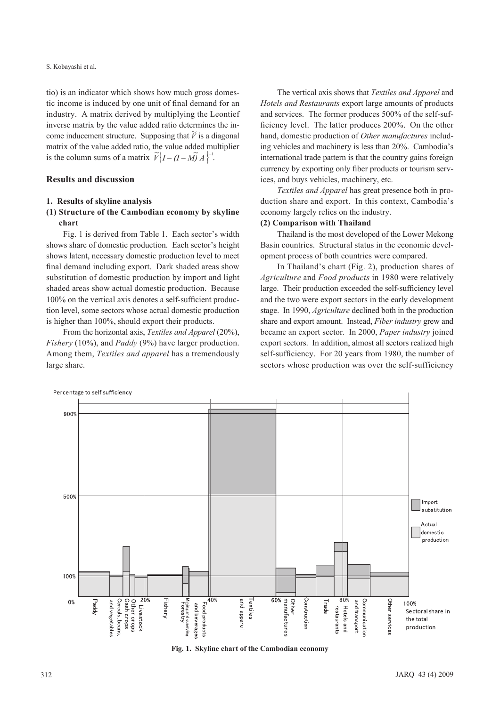S. Kobayashi et al.

tio) is an indicator which shows how much gross domestic income is induced by one unit of final demand for an industry. A matrix derived by multiplying the Leontief inverse matrix by the value added ratio determines the income inducement structure. Supposing that  $\tilde{V}$  is a diagonal matrix of the value added ratio, the value added multiplier is the column sums of a matrix  $\widetilde{V}$   $\left[ I - (I - M) A \right]$ <sup>-1</sup>.

## **Results and discussion**

### **1. Results of skyline analysis**

## **(1) Structure of the Cambodian economy by skyline chart**

Fig. 1 is derived from Table 1. Each sector's width shows share of domestic production. Each sector's height shows latent, necessary domestic production level to meet final demand including export. Dark shaded areas show substitution of domestic production by import and light shaded areas show actual domestic production. Because 100% on the vertical axis denotes a self-sufficient production level, some sectors whose actual domestic production is higher than 100%, should export their products.

From the horizontal axis, *Textiles and Apparel* (20%), *Fishery* (10%), and *Paddy* (9%) have larger production. Among them, *Textiles and apparel* has a tremendously large share.

The vertical axis shows that *Textiles and Apparel* and *Hotels and Restaurants* export large amounts of products and services. The former produces 500% of the self-sufficiency level. The latter produces 200%. On the other hand, domestic production of *Other manufactures* including vehicles and machinery is less than 20%. Cambodia's international trade pattern is that the country gains foreign currency by exporting only fiber products or tourism services, and buys vehicles, machinery, etc.

*Textiles and Apparel* has great presence both in production share and export. In this context, Cambodia's economy largely relies on the industry.

### **(2) Comparison with Thailand**

Thailand is the most developed of the Lower Mekong Basin countries. Structural status in the economic development process of both countries were compared.

In Thailand's chart (Fig. 2), production shares of *Agriculture* and *Food products* in 1980 were relatively large. Their production exceeded the self-sufficiency level and the two were export sectors in the early development stage. In 1990, *Agriculture* declined both in the production share and export amount. Instead, *Fiber industry* grew and became an export sector. In 2000, *Paper industry* joined export sectors. In addition, almost all sectors realized high self-sufficiency. For 20 years from 1980, the number of sectors whose production was over the self-sufficiency



**Fig. 1. Skyline chart of the Cambodian economy**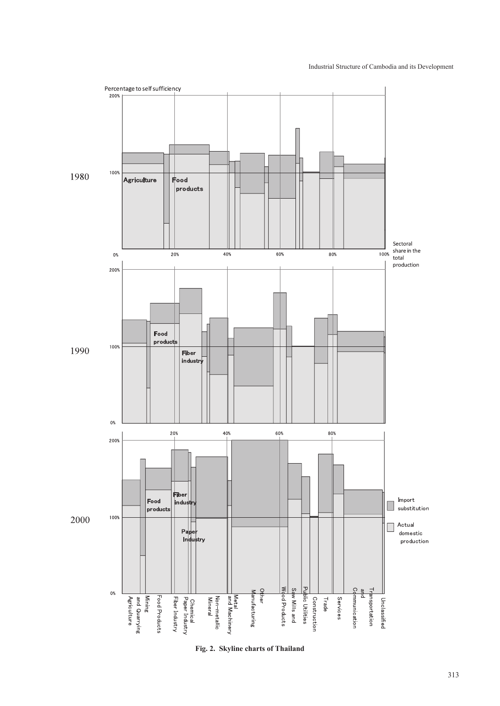

**Fig. 2. Skyline charts of Thailand**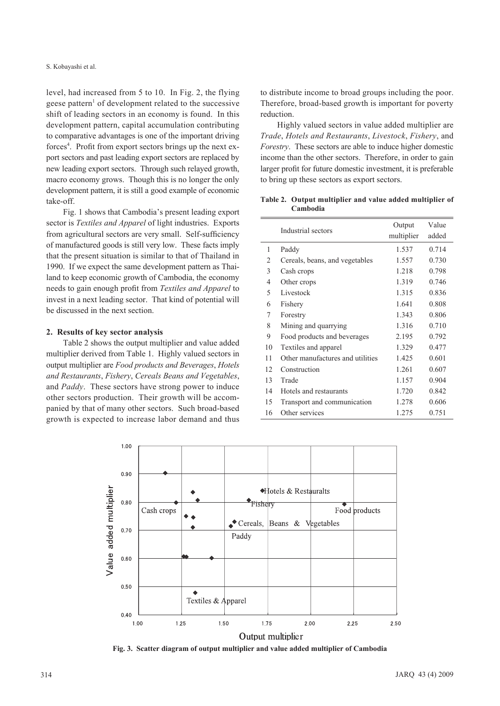level, had increased from 5 to 10. In Fig. 2, the flying geese pattern<sup>1</sup> of development related to the successive shift of leading sectors in an economy is found. In this development pattern, capital accumulation contributing to comparative advantages is one of the important driving forces<sup>4</sup>. Profit from export sectors brings up the next export sectors and past leading export sectors are replaced by new leading export sectors. Through such relayed growth, macro economy grows. Though this is no longer the only development pattern, it is still a good example of economic take-off.

Fig. 1 shows that Cambodia's present leading export sector is *Textiles and Apparel* of light industries. Exports from agricultural sectors are very small. Self-sufficiency of manufactured goods is still very low. These facts imply that the present situation is similar to that of Thailand in 1990. If we expect the same development pattern as Thailand to keep economic growth of Cambodia, the economy needs to gain enough profit from *Textiles and Apparel* to invest in a next leading sector. That kind of potential will be discussed in the next section.

### **2. Results of key sector analysis**

Table 2 shows the output multiplier and value added multiplier derived from Table 1. Highly valued sectors in output multiplier are *Food products and Beverages*, *Hotels and Restaurants*, *Fishery*, *Cereals Beans and Vegetables*, and *Paddy*. These sectors have strong power to induce other sectors production. Their growth will be accompanied by that of many other sectors. Such broad-based growth is expected to increase labor demand and thus to distribute income to broad groups including the poor. Therefore, broad-based growth is important for poverty reduction.

Highly valued sectors in value added multiplier are *Trade*, *Hotels and Restaurants*, *Livestock*, *Fishery*, and *Forestry*. These sectors are able to induce higher domestic income than the other sectors. Therefore, in order to gain larger profit for future domestic investment, it is preferable to bring up these sectors as export sectors.

**Table 2. Output multiplier and value added multiplier of Cambodia**

|    | Industrial sectors               | Output     | Value |  |
|----|----------------------------------|------------|-------|--|
|    |                                  | multiplier | added |  |
| 1  | Paddy                            | 1.537      | 0.714 |  |
| 2  | Cereals, beans, and vegetables   | 1.557      | 0.730 |  |
| 3  | Cash crops                       | 1.218      | 0.798 |  |
| 4  | Other crops                      | 1.319      | 0.746 |  |
| 5  | Livestock                        | 1.315      | 0.836 |  |
| 6  | Fishery                          | 1.641      | 0.808 |  |
| 7  | Forestry                         | 1.343      | 0.806 |  |
| 8  | Mining and quarrying             | 1.316      | 0.710 |  |
| 9  | Food products and beverages      | 2.195      | 0.792 |  |
| 10 | Textiles and apparel             | 1.329      | 0.477 |  |
| 11 | Other manufactures and utilities | 1.425      | 0.601 |  |
| 12 | Construction                     | 1.261      | 0.607 |  |
| 13 | Trade                            | 1.157      | 0.904 |  |
| 14 | Hotels and restaurants           | 1.720      | 0.842 |  |
| 15 | Transport and communication      | 1.278      | 0.606 |  |
| 16 | Other services                   | 1.275      | 0.751 |  |



**Fig. 3. Scatter diagram of output multiplier and value added multiplier of Cambodia**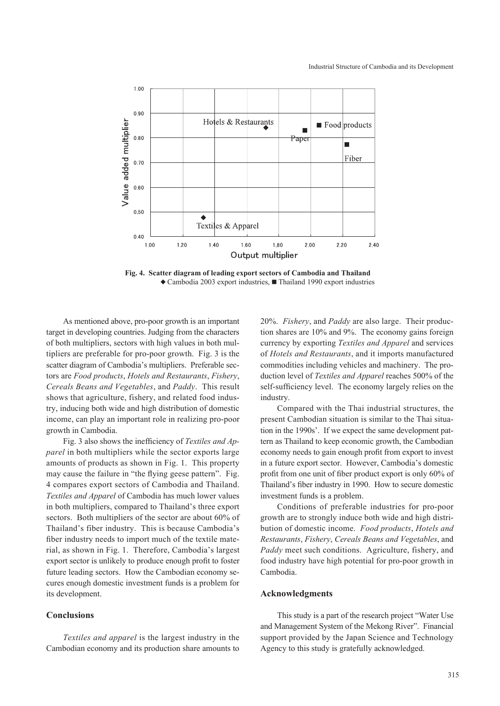

**Fig. 4. Scatter diagram of leading export sectors of Cambodia and Thailand ◆** Cambodia 2003 export industries, **■** Thailand 1990 export industries

As mentioned above, pro-poor growth is an important target in developing countries. Judging from the characters of both multipliers, sectors with high values in both multipliers are preferable for pro-poor growth. Fig. 3 is the scatter diagram of Cambodia's multipliers. Preferable sectors are *Food products*, *Hotels and Restaurants*, *Fishery*, *Cereals Beans and Vegetables*, and *Paddy*. This result shows that agriculture, fishery, and related food industry, inducing both wide and high distribution of domestic income, can play an important role in realizing pro-poor growth in Cambodia.

Fig. 3 also shows the inefficiency of *Textiles and Apparel* in both multipliers while the sector exports large amounts of products as shown in Fig. 1. This property may cause the failure in "the flying geese pattern". Fig. 4 compares export sectors of Cambodia and Thailand. *Textiles and Apparel* of Cambodia has much lower values in both multipliers, compared to Thailand's three export sectors. Both multipliers of the sector are about 60% of Thailand's fiber industry. This is because Cambodia's fiber industry needs to import much of the textile material, as shown in Fig. 1. Therefore, Cambodia's largest export sector is unlikely to produce enough profit to foster future leading sectors. How the Cambodian economy secures enough domestic investment funds is a problem for its development.

## **Conclusions**

*Textiles and apparel* is the largest industry in the Cambodian economy and its production share amounts to 20%. *Fishery*, and *Paddy* are also large. Their production shares are 10% and 9%. The economy gains foreign currency by exporting *Textiles and Apparel* and services of *Hotels and Restaurants*, and it imports manufactured commodities including vehicles and machinery. The production level of *Textiles and Apparel* reaches 500% of the self-sufficiency level. The economy largely relies on the industry.

Compared with the Thai industrial structures, the present Cambodian situation is similar to the Thai situation in the 1990s'. If we expect the same development pattern as Thailand to keep economic growth, the Cambodian economy needs to gain enough profit from export to invest in a future export sector. However, Cambodia's domestic profit from one unit of fiber product export is only 60% of Thailand's fiber industry in 1990. How to secure domestic investment funds is a problem.

Conditions of preferable industries for pro-poor growth are to strongly induce both wide and high distribution of domestic income. *Food products*, *Hotels and Restaurants*, *Fishery*, *Cereals Beans and Vegetables*, and *Paddy* meet such conditions. Agriculture, fishery, and food industry have high potential for pro-poor growth in Cambodia.

## **Acknowledgments**

This study is a part of the research project "Water Use and Management System of the Mekong River". Financial support provided by the Japan Science and Technology Agency to this study is gratefully acknowledged.